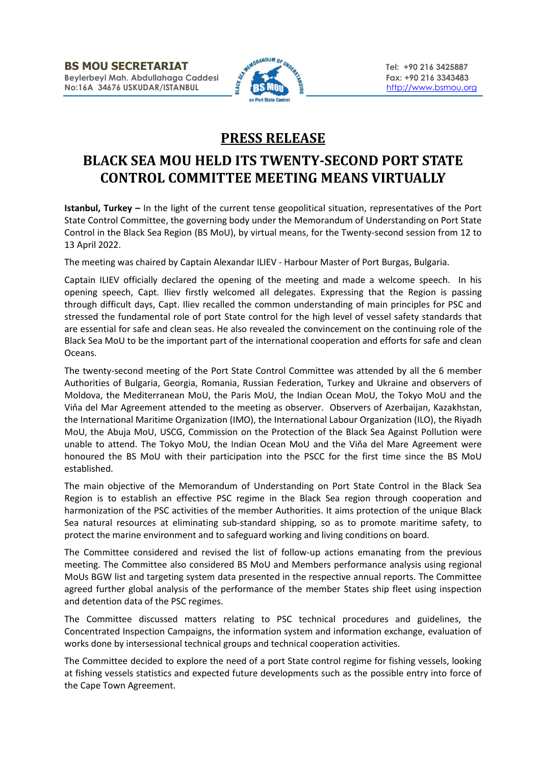

## **PRESS RELEASE**

## **BLACK SEA MOU HELD ITS TWENTY-SECOND PORT STATE CONTROL COMMITTEE MEETING MEANS VIRTUALLY**

**Istanbul, Turkey –** In the light of the current tense geopolitical situation, representatives of the Port State Control Committee, the governing body under the Memorandum of Understanding on Port State Control in the Black Sea Region (BS MoU), by virtual means, for the Twenty-second session from 12 to 13 April 2022.

The meeting was chaired by Captain Alexandar ILIEV - Harbour Master of Port Burgas, Bulgaria.

Captain ILIEV officially declared the opening of the meeting and made a welcome speech. In his opening speech, Capt. Iliev firstly welcomed all delegates. Expressing that the Region is passing through difficult days, Capt. Iliev recalled the common understanding of main principles for PSC and stressed the fundamental role of port State control for the high level of vessel safety standards that are essential for safe and clean seas. He also revealed the convincement on the continuing role of the Black Sea MoU to be the important part of the international cooperation and efforts for safe and clean Oceans.

The twenty-second meeting of the Port State Control Committee was attended by all the 6 member Authorities of Bulgaria, Georgia, Romania, Russian Federation, Turkey and Ukraine and observers of Moldova, the Mediterranean MoU, the Paris MoU, the Indian Ocean MoU, the Tokyo MoU and the Viňa del Mar Agreement attended to the meeting as observer. Observers of Azerbaijan, Kazakhstan, the International Maritime Organization (IMO), the International Labour Organization (ILO), the Riyadh MoU, the Abuja MoU, USCG, Commission on the Protection of the Black Sea Against Pollution were unable to attend. The Tokyo MoU, the Indian Ocean MoU and the Viňa del Mare Agreement were honoured the BS MoU with their participation into the PSCC for the first time since the BS MoU established.

The main objective of the Memorandum of Understanding on Port State Control in the Black Sea Region is to establish an effective PSC regime in the Black Sea region through cooperation and harmonization of the PSC activities of the member Authorities. It aims protection of the unique Black Sea natural resources at eliminating sub-standard shipping, so as to promote maritime safety, to protect the marine environment and to safeguard working and living conditions on board.

The Committee considered and revised the list of follow-up actions emanating from the previous meeting. The Committee also considered BS MoU and Members performance analysis using regional MoUs BGW list and targeting system data presented in the respective annual reports. The Committee agreed further global analysis of the performance of the member States ship fleet using inspection and detention data of the PSC regimes.

The Committee discussed matters relating to PSC technical procedures and guidelines, the Concentrated Inspection Campaigns, the information system and information exchange, evaluation of works done by intersessional technical groups and technical cooperation activities.

The Committee decided to explore the need of a port State control regime for fishing vessels, looking at fishing vessels statistics and expected future developments such as the possible entry into force of the Cape Town Agreement.